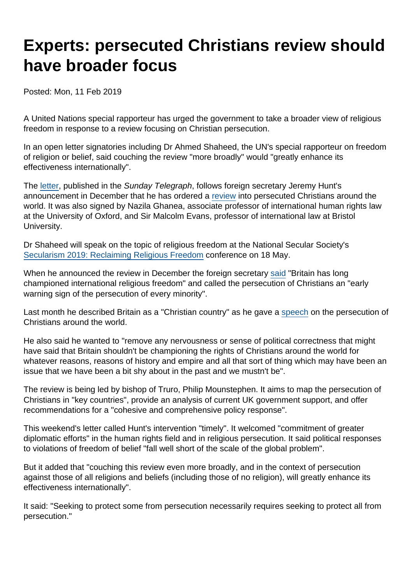## Experts: persecuted Christians review should have broader focus

Posted: Mon, 11 Feb 2019

A United Nations special rapporteur has urged the government to take a broader view of religious freedom in response to a review focusing on Christian persecution.

In an open letter signatories including Dr Ahmed Shaheed, the UN's special rapporteur on freedom of religion or belief, said couching the review "more broadly" would "greatly enhance its effectiveness internationally".

The [letter,](https://twitter.com/NazilaGhanea/status/1094513168137764864) published in the Sunday Telegraph, follows foreign secretary Jeremy Hunt's announcement in December that he has ordered a [review](https://www.bbc.co.uk/news/uk-46682411) into persecuted Christians around the world. It was also signed by Nazila Ghanea, associate professor of international human rights law at the University of Oxford, and Sir Malcolm Evans, professor of international law at Bristol University.

Dr Shaheed will speak on the topic of religious freedom at the National Secular Society's [Secularism 2019: Reclaiming Religious Freedom](https://www.secularism.org.uk/secularism-2019.html) conference on 18 May.

When he announced the review in December the foreign secretary [said](https://www.bbc.co.uk/news/uk-46682411) "Britain has long championed international religious freedom" and called the persecution of Christians an "early warning sign of the persecution of every minority".

Last month he described Britain as a "Christian country" as he gave a [speech](https://www.gov.uk/government/speeches/foreign-secretary-speech-on-christian-persecution-around-the-world) on the persecution of Christians around the world.

He also said he wanted to "remove any nervousness or sense of political correctness that might have said that Britain shouldn't be championing the rights of Christians around the world for whatever reasons, reasons of history and empire and all that sort of thing which may have been an issue that we have been a bit shy about in the past and we mustn't be".

The review is being led by bishop of Truro, Philip Mounstephen. It aims to map the persecution of Christians in "key countries", provide an analysis of current UK government support, and offer recommendations for a "cohesive and comprehensive policy response".

This weekend's letter called Hunt's intervention "timely". It welcomed "commitment of greater diplomatic efforts" in the human rights field and in religious persecution. It said political responses to violations of freedom of belief "fall well short of the scale of the global problem".

But it added that "couching this review even more broadly, and in the context of persecution against those of all religions and beliefs (including those of no religion), will greatly enhance its effectiveness internationally".

It said: "Seeking to protect some from persecution necessarily requires seeking to protect all from persecution."